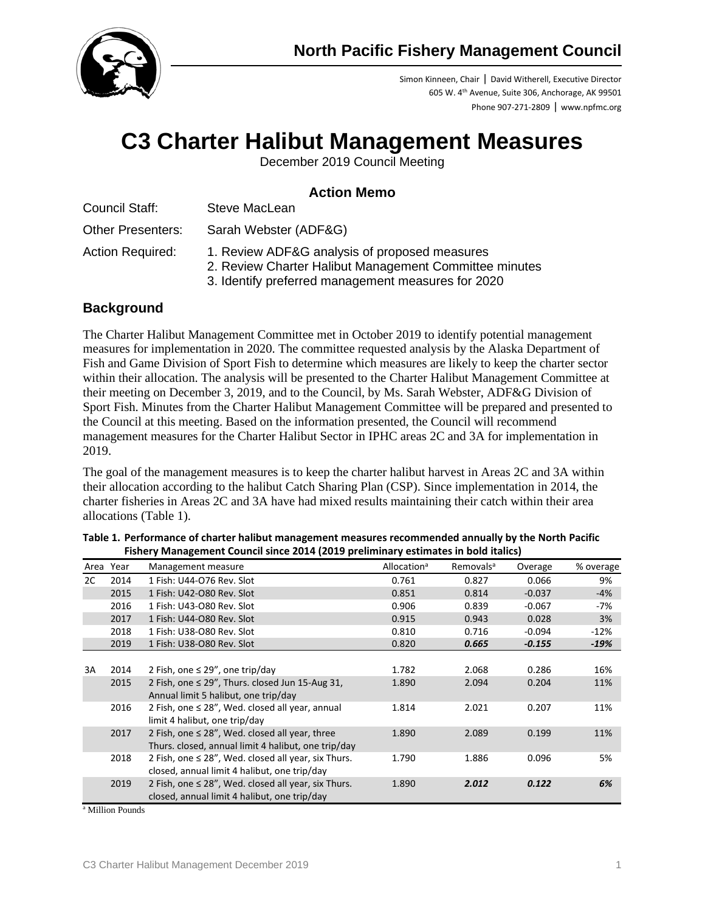

Simon Kinneen, Chair ǀ David Witherell, Executive Director 605 W. 4th Avenue, Suite 306, Anchorage, AK 99501 Phone 907-271-2809 ǀ www.npfmc.org

# **C3 Charter Halibut Management Measures**

December 2019 Council Meeting

## **Action Memo**

| Council Staff:           | Steve MacLean         |
|--------------------------|-----------------------|
| <b>Other Presenters:</b> | Sarah Webster (ADF&G) |

- Action Required: 1. Review ADF&G analysis of proposed measures
	- 2. Review Charter Halibut Management Committee minutes
	- 3. Identify preferred management measures for 2020

## **Background**

The Charter Halibut Management Committee met in October 2019 to identify potential management measures for implementation in 2020. The committee requested analysis by the Alaska Department of Fish and Game Division of Sport Fish to determine which measures are likely to keep the charter sector within their allocation. The analysis will be presented to the Charter Halibut Management Committee at their meeting on December 3, 2019, and to the Council, by Ms. Sarah Webster, ADF&G Division of Sport Fish. Minutes from the Charter Halibut Management Committee will be prepared and presented to the Council at this meeting. Based on the information presented, the Council will recommend management measures for the Charter Halibut Sector in IPHC areas 2C and 3A for implementation in 2019.

The goal of the management measures is to keep the charter halibut harvest in Areas 2C and 3A within their allocation according to the halibut Catch Sharing Plan (CSP). Since implementation in 2014, the charter fisheries in Areas 2C and 3A have had mixed results maintaining their catch within their area allocations [\(Table 1\)](#page-0-0).

|    | Area Year | Management measure                                                                                         | Allocation <sup>a</sup> | Removals <sup>a</sup> | Overage  | % overage |
|----|-----------|------------------------------------------------------------------------------------------------------------|-------------------------|-----------------------|----------|-----------|
| 2C | 2014      | 1 Fish: U44-076 Rev. Slot                                                                                  | 0.761                   | 0.827                 | 0.066    | 9%        |
|    | 2015      | 1 Fish: U42-O80 Rev. Slot                                                                                  | 0.851                   | 0.814                 | $-0.037$ | $-4%$     |
|    | 2016      | 1 Fish: U43-O80 Rev. Slot                                                                                  | 0.906                   | 0.839                 | $-0.067$ | -7%       |
|    | 2017      | 1 Fish: U44-080 Rev. Slot                                                                                  | 0.915                   | 0.943                 | 0.028    | 3%        |
|    | 2018      | 1 Fish: U38-O80 Rev. Slot                                                                                  | 0.810                   | 0.716                 | $-0.094$ | $-12%$    |
|    | 2019      | 1 Fish: U38-O80 Rev. Slot                                                                                  | 0.820                   | 0.665                 | $-0.155$ | $-19%$    |
|    |           |                                                                                                            |                         |                       |          |           |
| 3A | 2014      | 2 Fish, one $\leq$ 29", one trip/day                                                                       | 1.782                   | 2.068                 | 0.286    | 16%       |
|    | 2015      | 2 Fish, one ≤ 29", Thurs. closed Jun 15-Aug 31,<br>Annual limit 5 halibut, one trip/day                    | 1.890                   | 2.094                 | 0.204    | 11%       |
|    | 2016      | 2 Fish, one $\leq$ 28", Wed. closed all year, annual<br>limit 4 halibut, one trip/day                      | 1.814                   | 2.021                 | 0.207    | 11%       |
|    | 2017      | 2 Fish, one $\leq$ 28", Wed. closed all year, three<br>Thurs. closed, annual limit 4 halibut, one trip/day | 1.890                   | 2.089                 | 0.199    | 11%       |
|    | 2018      | 2 Fish, one $\leq$ 28", Wed. closed all year, six Thurs.<br>closed, annual limit 4 halibut, one trip/day   | 1.790                   | 1.886                 | 0.096    | 5%        |
|    | 2019      | 2 Fish, one $\leq$ 28", Wed. closed all year, six Thurs.<br>closed, annual limit 4 halibut, one trip/day   | 1.890                   | 2.012                 | 0.122    | 6%        |

<span id="page-0-0"></span>

| Table 1. Performance of charter halibut management measures recommended annually by the North Pacific |  |
|-------------------------------------------------------------------------------------------------------|--|
| Fishery Management Council since 2014 (2019 preliminary estimates in bold italics)                    |  |

<sup>a</sup> Million Pounds